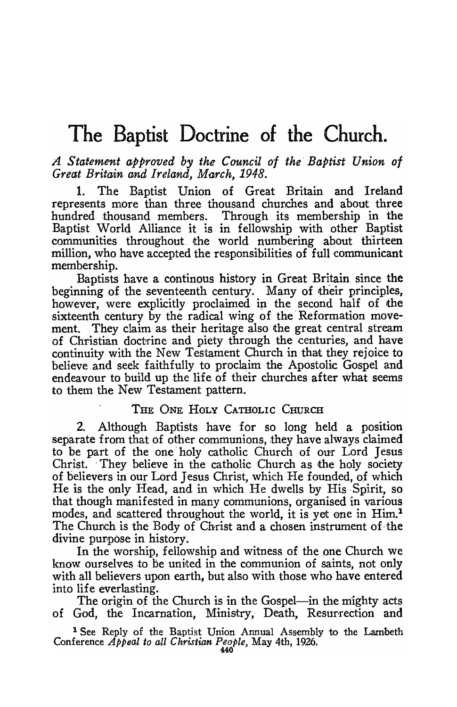# The Baptist Doctrine of the Church.

A Statement approved by the Council of the Baptist Union of *Great Britain and Ireland, March, 1948.* 

1. The Baptist Union of Great Britain and Ireland represents more than three thousand churches and about three hundred thousand members. Through its membership in the Baptist World Alliance it is in fellowship with other Baptist communities throughout the world numbering about thirteen million, who have accepted the responsibilities of full communicant membership.

Baptists have a continous history in Great Britain since the beginning of the seventeenth century. Many of their principles, however, were explicitly proclaimed in the second half of the sixteenth century by the radical wing of the Reformation movement. They claim as their heritage also the great central stream of Christian doctrine and piety through the centuries, and have continuity with the New Testament Church in that they rejoice to believe and seek faithfully to proclaim the Apostolic Gospel and endeavour to build up the life of their churches after what seems to them the New Testament pattern.

#### THE ONE HOLY CATHOLIC CHURCH

2. Although Baptists have for so long held a position separate from that of other communions, they have always claimed to be part of the one holy catholic Church of our Lord Jesus Christ. They believe in the catholic Church as the holy society of believers in our Lord Jesus Christ, which He founded, of which He is the only Head, and in which He dwells by His Spirit, so that though manifested in many communions, organised in various modes, and scattered throughout the world, it is yet one in Him.<sup>1</sup> The Church is the Body of Christ and a chosen instrument of the divine purpose in history.

In the worship, fellowship and witness of the one Church we know ourselves to be united in the communion of saints, not only with all believers upon earth, but also with those who have entered into life everlasting.

The origin of the Church is in the Gospel—in the mighty acts of God, the Incarnation, Ministry, Death, Resurrection and

<sup>1</sup> See Reply of the Baptist Union Annual Assembly to the Lambeth <sup>-</sup> See Reply of the Baptist Omon Annual Assembly<br>
onference *Appeal to all Christian People*, May 4th, 1926.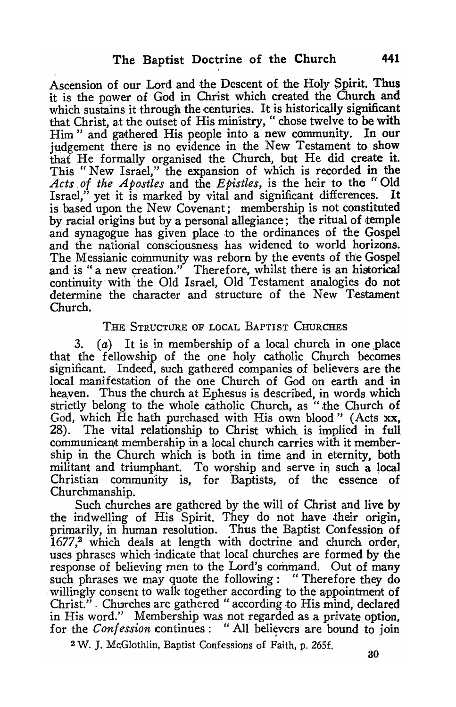Ascension of our Lord and the Descent of. the Holy Spirit. Thus it is the power of God in Christ which created the Church and which sustains it through the centuries. It is historically significant that Christ, at the outset of His ministry, " chose twelve to be with Him" and gathered His people into a new community. In our judgement there is no evidence in the New Testament to show that He formally organised the Church, but He did create it. This "New Israel," the expansion of which is recorded in the *Acts of the Apostles* and the *Epistles,* is the heir to the "Old  $\pi$ *is by the ziposites* and the *Episties*, is the new the  $\pi$  order that  $\pi$  is marked by vital and significant differences. It is based upon the New Covenant; membership is not constituted by racial origins but by a personal allegiance; the ritual of temple and synagogue has given place to the ordinances of the Gospel and the national consciousness has widened to world horizons. The Messianic community was reborn by the events of the Gospel and is "a new creation." Therefore, whilst there is an historical continuity with the Old Israel, Old Testament analogies do not determine the character and structure of the New Testament Church.

## THE STRUCTURE OF LOCAL BAPTIST CHURCHES

3. (a) It is in membership of a local church in one place that the fellowship of the one holy catholic Church becomes significant. Indeed, such gathered companies of believers are the local manifestation of the one Church of God on earth and in heaven. Thus the church at Ephesus is described, in words which strictly belong to the whole catholic Church, as "the Church of God, which He hath purchased with His own blood" (Acts xx, 28). The vital relationship to Christ which is implied in full communicant membership in a local chunch carries with it membership in the Church which is both in time and in eternity, both militant and triumphant. To worship and serve in such a local Christian community is, for Baptists, of the essence of Churchmanship.

Such churches are gathered by the will of Christ and live by the indwelling of His Spirit. They do not have their origin, primarily, in human resolution. Thus the Baptist Confession of  $1677<sup>2</sup>$  which deals at length with doctrine and church order, uses phrases which indicate that local churches are formed by the response of believing men to the Lord's command. Out of many such phrases we may quote the following: "Therefore they do willingly consent to walk together according to the appointment of Christ." Churches are gathered "according to His mind, declared in His word." Membership was not regarded as a private option, for the *Confession* continues: "All believers are bound to join

2 W. J. McGlothlin, Baptist Confessions of Faith, p, 265f.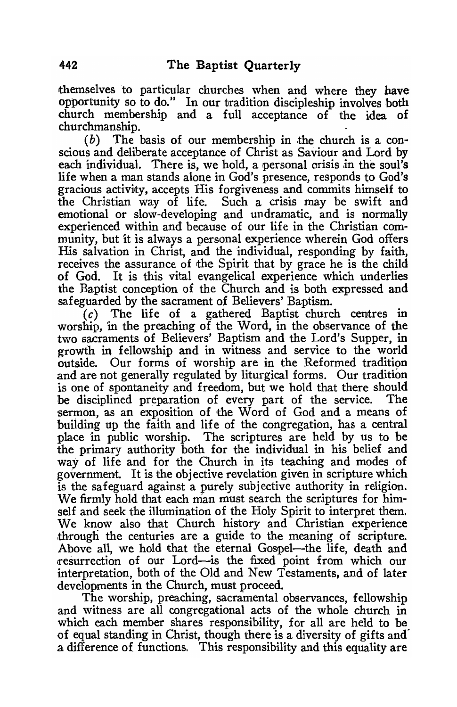themselves to particular chur,ches when and where they have emselves to particular churches when and where they have opportunity so to do." In our tradition discipleship involves both church membership and a full acceptance of the idea of churchmanship.

 $\int$  The basis of our membership in the church is a con- $\begin{bmatrix} 0 \end{bmatrix}$  in the basis of our membership in the church is a con-<br>ious and deliberate acceptance of Christ as Saviour and Lord by nous and democrate acceptance of Christ as Saviour and Lord by<br>the individual. There is, we hold, a general origin in the soul's  $\epsilon$  individual. There is, we note, a personal orisis in the soul's  $\epsilon$ life when a man stands alone in God's presence, responds to God's gracious activity, accepts His forgiveness and commits himself to racious activity, accepts rus forgiveness and commits nimself to e Christian way of life. Such a crisis may be swift and emotional or slow-developing and undramatic, and is normally experienced within and because of our life in the Christian community, but it is always a personal experience wherein God offers His salvation in Christ, and the individual, responding by faith, receives the assurance of the Spirit that by grace he is the child ceives the assurance of the Spirit that by grace he is the child<br>Cod. It is this vital experience which underlies of God. It is this vital evangelical experience which underlies the Baptist conception of the Church and is both expressed and safeguarded by the sacrament of Believers' Baptism. arded by the sacrament of Believers' Baptism.<br>Class life of a gathered Baptist church centres in

 $\epsilon$  in the next parallel is the Mord, in the observance of the  $\epsilon$ worship, in the preaching of the Word, in the observance of the two sacraments of Believers' Baptism and the Lord's Supper, in growth in fellowship and in witness and service to the world owth in reliowship and in witness and service to the world atside. Our forms of worship are in the Reformed tradition and are not generally regulated by liturgical forms. Our tradition is one of spontaneity and freedom, but we hold that there should<br>be disciplined preparation of every part of the service. The be disciplined preparation of every part of the service. The sermon, as an exposition of the Word of God and a means of  $b_1$  and  $b_2$  is an exposition of the volta of the congregation, has a central in quing up the raith and life of the congregation, has a central place in public worship. The scriptures are held by us to be the primary authority both for the individual in his belief and e primary authority both for the individual in his belief and<br>gy of life and for the Church in its teaching and modes of<br>gradition given in scripture which government. It is the objective revelation given in scripture which is the safeguard against a purely subjective authority in religion. We firmly hold that each man must search the scriptures for himself and seek the illumination of the Holy Spirit to interpret them. We know also that Church history and Christian experience through the centuries are a guide to the meaning of scripture. Above all, we hold that the eternal Gospel—the life, death and resurrection of our Lord-is the fixed point from which our interpretation, both of the Old and New Testaments, and of later developments in the Church, must proceed.

pments in the Church, must proceed.<br>he worship, preaching, sacramental observances, fellowship I ne worsnip, preaching, sacramental observances, reliowship and witness are all congregational acts of the whole church in which each member shares responsibility, for all are held to be of equal standing in Christ, though there is a diversity of gifts and<br>a difference of functions. This responsibility and this equality are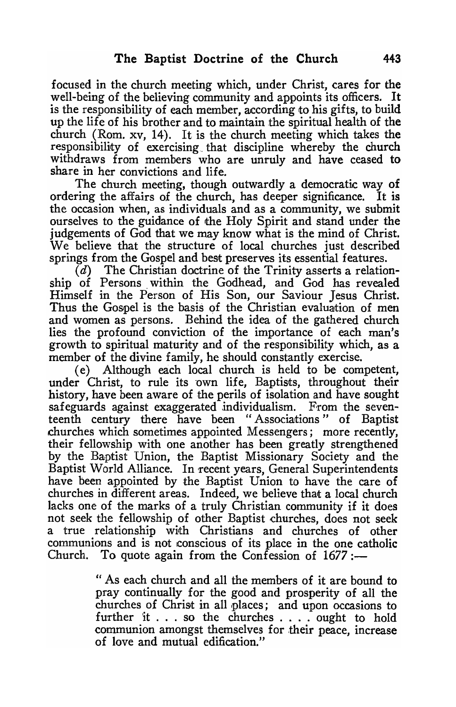focused in the church meeting which, under Christ, cares for the well-being of the believing community and appoints its officers. It is the responsibility of each member, according to his gifts, to build up the life of his brother and to maintain the spiritual health of the church (Rom. xv, 14). It is the church meeting which takes the responsibility of exercising that discipline whereby the church withdraws from members who are unruly and have ceased to share in her convictions and life.

The church meeting, though outwardly a democratic way of ordering the affairs of the church, has deeper significance. It is the occasion when, as individuals and as a community, we submit ourselves to the guidance of the Holy Spirit and stand under the judgements of God that we may know what is the mind of Christ. We believe that the structure of local churches just described springs from the Gospel and best preserves its essential features.

(d) The Christian doctrine of the Trinity asserts a relationship of Persons within the Godhead, and God has revealed Himself in the Person of His Son, our Saviour Jesus Christ. Thus the Gospel is the basis of the Christian evaluation of men and women as persons. Behind the idea of the gathered church lies the profound conviction of the importance of each man's growth to spiritual maturity and of the responsibility which, as a member of the divine family, he should constantly exercise.

(e) Although each local church is held to be competent, under Christ, to rule its own life, Baptists, throughout their history, have been aware of the perils of isolation and have sought safeguards against exaggerated individualism. From the seventeenth century there have been "Associations" of Baptist churches which sometimes appointed Messengers; more recently, their fellowship with one another has been greatly strengthened by the Baptist Union, the Baptist Missionary Society and the Baptist World Alliance. In recent years, General Superintendents have been appointed by the Baptist Union to have the care of churches in different areas. Indeed, we believe that a local church lacks one of the marks of a truly Christian community if it does not seek the fellowship of other Baptist churches, does not seek a true relationship with Christians and churches of other communions and is not conscious of its place in the one catholic Church. To quote again from the Confession of  $1677:$ -

> " As each church and all the members of it are bound to pray continually for the good and prosperity of all the churches of Christ in all places; and upon occasions to further 'it . . . so the churches . . . . ought to hold communion amongst themselves for their peace, increase of love and mutual edification."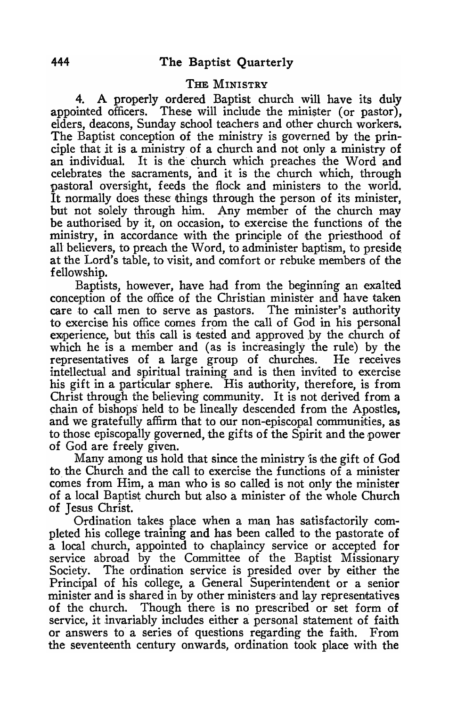## THE MINISTRY

4. A properly ordered Baptist church will have its duly appointed officers. These will include the minister (or pastor), elders, deacons, Sunday school teachers and other church workers. The Baptist conception of the ministry is governed by the principle that *it* is a ministry of a church and not only a ministry of . an individua1. It is the church which preaches the Word and celebrates the sacraments, and it is the church which, through pastoral oversight, feeds the flock and ministers to the world. It normally does these things through the person of its minister, but not solely through him. Any member of the church may be authorised by it, on occasion, to exercise the functions of the ministry, in accordance with the principle of the priesthood of all believers, to preach the Word, to administer baptism, to preside at the Lord's table, to visit, and comfort or rebuke members of the t the Bord's table, to visit, and comfort of Tebuxe meme fellowship.<br>Baptists, however, have had from the beginning an exalted

conception of the office of the Christian minister and have taken care to call men to serve as pastors. The minister's authority to exercise his office comes from the call of God in his personal experience, but this call is tested and approved by the church of which he is a member and (as is increasingly the rule) by the representatives of a large group of churches. He receives intellectual and spiritual training and is then invited to exercise hencetuar and spirituar training and is then invited to excresse<br>is gift in a particular sphere. His authority, therefore, is from a<br>hrist through the believing community. It is not derived from a Christ through the believing community. It is not derived from a chain of bishops held to be lineally descended from the Apostles, and we gratefully affirm that to our non-episcopal communities, as to those episcopally governed, the gifts of the Spirit and the power of God are freely given.

Many among us hold that since the ministry 'is the gift of God to the Church and the call to exercise the functions of a minister comes from Him, a man who is so called is not only the minister of a local Baptist church but also a minister of the whole Church of Jesus Christ.

Ordination takes place when a man has satisfactorily com~ pleted his college training' and has been called to the pastorate of a local church, appointed to chaplaincy service or accepted for service abroad by the Committee of the Baptist Missionary Society. The ordination service is presided over by either the Principal of his college, a General Superintendent or a senior minister and is shared in by other ministers and lay representatives of the church.' Though there is no prescribed or set form of service, *it* invariably includes either a personal statement of faith or answers to a series of questions regarding the faith. From the seventeenth century onwards, ordination took place with the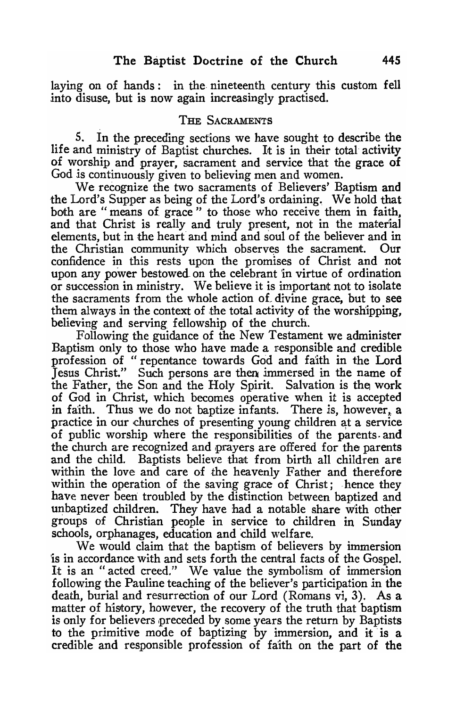laying on of hands: in the nineteenth century this custom fell into disuse, but is now again increasingly practised.

## THE SACRAMENTS

5. In the preceding sections we have sought to describe the life and ministry of Baptist churches. It is in their total activity of worship and prayer, sacrament and service that the grace of God is continuously given to believing men and women.

We recognize the two sacraments of Believers' Baptism and the Lord's Supper as being of the Lord's ordaining. We hold that both are "means of grace" to those who receive them in faith, and that Christ is really and truly present, not in the material elements, but in the heart and mind and soul of the believer and in the Christian community which observes the sacrament. Our confidence. in this rests upon the promises of Christ and not upon any power bestowed. on the celebrant 'in virtue of ordination or succession in ministry. We believe it is important not to isolate the sacraments from the whole action ot divine grace, but to see them always in the context of the total activity of the worshipping, believing and serving fellowship of the church.

Following the guidance of the New Testament we administer Baptism only to those who have made a responsible and credible profession of "repentance towards God and fa'ith in the Lord Jesus Christ." Such persons are then immersed in the name of the Father, the Son and the Holy Spirit. Salvation is the work of God in Christ, which becomes operative when it is accepted in faith. Thus we do not baptize infants. There is, however, a practice in our churches of presenting young children qt a service of public worship where the responsibilities of the parents. and the church are recognized and prayers are offered for the parents and the child. Baptists believe that from birth all children are within the love and care of the heavenly Father and therefore within the operation of the saving grace of Christ; hence they have never been troubled by the distinction between baptized and unbaptized children. They have had a notable share with other groups of Christian people in service to children in Sunday schools, orphanages, education and child welfare.

We would claim that the baptism of believers by immersion 'is in accordance with and sets forth the central facts of the Gospel. It is an "acted creed." We value the symbolism of immersion following the Pauline teaching of the believer's participation in the death, burial and resurrection of our Lord (Romans vi, 3). As a matter of history, however, the recovery of the truth that baptism is only for believers preceded by some years the return by Baptists to the primitive mode of baptizing by immersion, and it' is a credible and responsible profession of faith on the part of the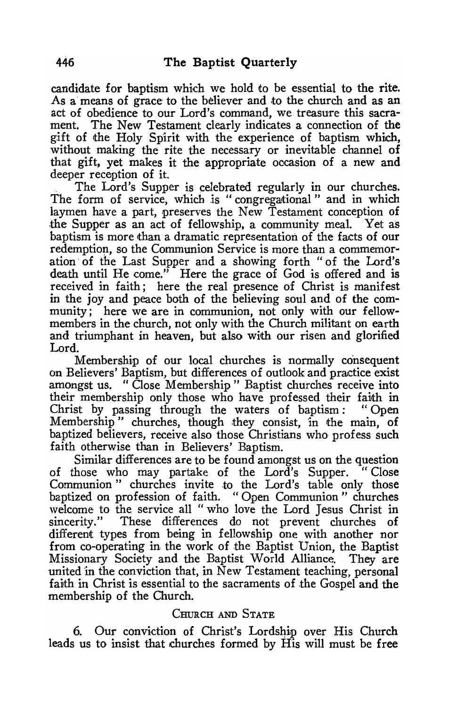candidate for baptism which we hold to be essential to the rite. As a means of grace to the believer and to the church and as an act of obedience to our Lord's command, we treasure this sacrament. The New Testament clearly indicates a connection of the gift of the Holy Spirit with the experience of baptism which, without making the rite the necessary or inevitable channel of that gift, yet makes it the appropriate oocasion of a new and deeper reception of it.

The Lord's Supper is celebrated regularly in our churches. The form of service, which is "congregational" and in which laymen have a part, preserves the New Testament conception of the Supper as an act of fellowship, a community meal. Yet as baptism is more than a dramatic representation of the fads of our redemption, so the Communion Service is more than a commemoration of the Last Supper and a showing forth "of the Lord's death until He come." Here the grace of God is offered and is received in faith; here the real presence of Christ is manifest in the joy and peace both of the believing soul and of the community; here we are in communion, not only with our fellowmembers in the church, not only with the Church militant on earth and triumphant in heaven, but also with our risen and glorified Lord.

Membership of our local churches is normally consequent on Believers' Baptism, but differences of outlook and practice exist amongst us. "Close Membership" Baptist churches receive into their membership only those who have professed their faith in Christ by passing through the waters of baptism: "Open Membership" churches, though they consist, in the main, of baptized believers, receive also those Christians who profess such faith otherwise than in Believers' Baptism.

Similar differences are to be found amongst us on the question of those who may partake of the Lord's Supper. "Close Communion" churches invite to the Lord's table only those baptized on profession of faith. "Open Communion" churches welcome to the service all "who love the Lord Jesus Christ in sincerity." These differences do not prevent churches of different types from being in fellowship one with another nor from co-operating in the work of the Baptist Union, the Baptist Missionary Society and the Baptist World Alliance. They are united in the conviction that, in New Testament teaching, personal faith in Christ is essential to the sacraments of the Gospel and the membership of the Church.

# CHURCH AND STATE

6. Our conviction of Christ's Lordship over His Church leads us to insist that churches formed by His will must be free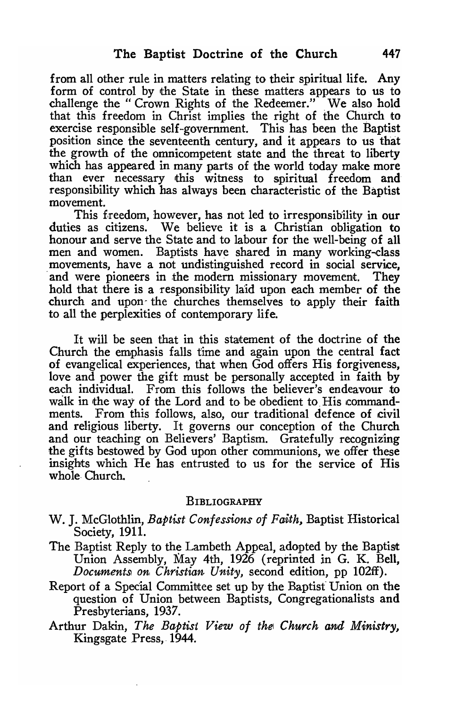from all other rule in matters relating to their spiritual life. Any form of control by the State in these matters appears to us to challenge the " Crown Rights of the Redeemer." We also hold that this freedom in Christ implies the right of the Church to exercise responsible self-government. This has been the Baptist position since the seventeenth century, and it appears to us that the growth of the omnicompetent state and the threat to liberty which has appeared in many parts of the world today make more than ever necessary this witness to spiritual freedom and responsibility which has always been characteristic of the Baptist movement.

This freedom, however, has not led to irresponsibility in our duties as citizens. We believe it is a Christian obligation to honour and serve the State and to labour for the well-being of all men and women. Baptists have shared in many working~class movements, have a not undistinguished record in social service, and were pioneers in the modern missionary movement. They hold that there is a responsibility laid upon each member of the church and upon the churches themselves to apply their faith to all the perplexities of contemporary life.

It will be seen that in this statement of the doctrine of the Church the emphasis falls time and again upon the central fact of evangelical experiences, that when God offers His forgiveness, love and power the gift must be personally accepted in faith by each individual. From this follows the believer's endeavour to walk in the way of the Lord and to be obedient to His commandments. From this follows, also, our traditional defence of civil and religious liberty. It governs our conception of the Church and our teaching on Believers' Baptism. Gratefully recognizing the gifts bestowed by God upon other communions, we offer these insights which He has entrusted to us for the service of His whole Church.

#### **BIBLIOGRAPHY**

- W. J. McGlothlin, *Baptist Confessions of Faith,* Baptist Historical Society, 1911.
- The Baptist Reply to the Lambeth Appeal, adopted by the Baptist Union Assembly, May 4th, 1926 (reprinted in G. K. Bell, *Documents on Christian Unity,* second edition, pp 102ff).
- Report of a Special Committee set up by the Baptist Union on the question of Union between Baptists, Congregationalists and Presbyterians, 1937.
- Arthur Dakin, *The Baptist View of thel Church and Ministry,*  Kingsgate Press, 1944.